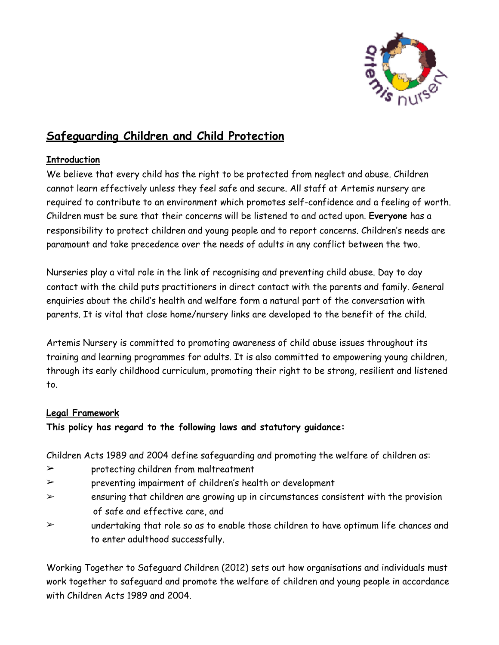

# **Safeguarding Children and Child Protection**

## **Introduction**

We believe that every child has the right to be protected from neglect and abuse. Children cannot learn effectively unless they feel safe and secure. All staff at Artemis nursery are required to contribute to an environment which promotes self-confidence and a feeling of worth. Children must be sure that their concerns will be listened to and acted upon. **Everyone** has a responsibility to protect children and young people and to report concerns. Children's needs are paramount and take precedence over the needs of adults in any conflict between the two.

Nurseries play a vital role in the link of recognising and preventing child abuse. Day to day contact with the child puts practitioners in direct contact with the parents and family. General enquiries about the child's health and welfare form a natural part of the conversation with parents. It is vital that close home/nursery links are developed to the benefit of the child.

Artemis Nursery is committed to promoting awareness of child abuse issues throughout its training and learning programmes for adults. It is also committed to empowering young children, through its early childhood curriculum, promoting their right to be strong, resilient and listened to.

## **Legal Framework**

**This policy has regard to the following laws and statutory guidance:** 

Children Acts 1989 and 2004 define safeguarding and promoting the welfare of children as:

- $\triangleright$  protecting children from maltreatment
- $\geq$  preventing impairment of children's health or development
- $\triangleright$  ensuring that children are growing up in circumstances consistent with the provision of safe and effective care, and
- $\ge$  undertaking that role so as to enable those children to have optimum life chances and to enter adulthood successfully.

Working Together to Safeguard Children (2012) sets out how organisations and individuals must work together to safeguard and promote the welfare of children and young people in accordance with Children Acts 1989 and 2004.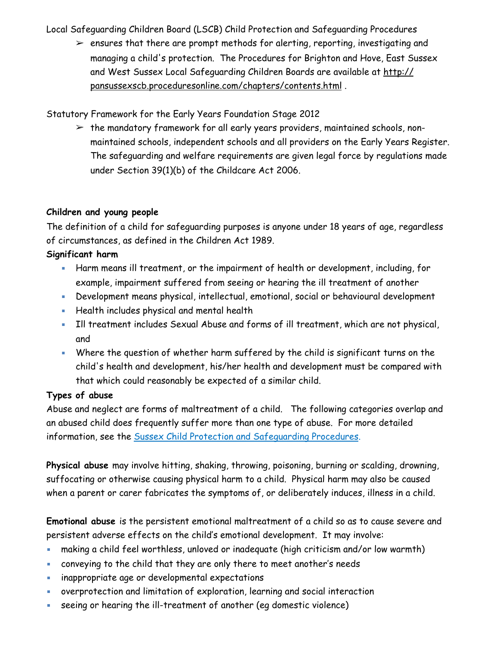Local Safeguarding Children Board (LSCB) Child Protection and Safeguarding Procedures

 $\triangleright$  ensures that there are prompt methods for alerting, reporting, investigating and managing a child's protection. The Procedures for Brighton and Hove, East Sussex and West Sussex Local Safeguarding Children Boards are available at [http://](http://pansussexscb.proceduresonline.com/chapters/contents.html) [pansussexscb.proceduresonline.com/chapters/contents.html](http://pansussexscb.proceduresonline.com/chapters/contents.html) .

Statutory Framework for the Early Years Foundation Stage 2012

 $\geq$  the mandatory framework for all early years providers, maintained schools, nonmaintained schools, independent schools and all providers on the Early Years Register. The safeguarding and welfare requirements are given legal force by regulations made under Section 39(1)(b) of the Childcare Act 2006.

## **Children and young people**

The definition of a child for safeguarding purposes is anyone under 18 years of age, regardless of circumstances, as defined in the Children Act 1989.

**Significant harm** 

- Harm means ill treatment, or the impairment of health or development, including, for example, impairment suffered from seeing or hearing the ill treatment of another
- Development means physical, intellectual, emotional, social or behavioural development
- **EXECUTE:** Health includes physical and mental health
- Ill treatment includes Sexual Abuse and forms of ill treatment, which are not physical, and
- Where the question of whether harm suffered by the child is significant turns on the child's health and development, his/her health and development must be compared with that which could reasonably be expected of a similar child.

## **Types of abuse**

Abuse and neglect are forms of maltreatment of a child. The following categories overlap and an abused child does frequently suffer more than one type of abuse. For more detailed information, see the [Sussex Child Protection and Safeguarding Procedures](http://pansussexscb.proceduresonline.com/chapters/contents.html).

**Physical abuse** may involve hitting, shaking, throwing, poisoning, burning or scalding, drowning, suffocating or otherwise causing physical harm to a child. Physical harm may also be caused when a parent or carer fabricates the symptoms of, or deliberately induces, illness in a child.

**Emotional abuse** is the persistent emotional maltreatment of a child so as to cause severe and persistent adverse effects on the child's emotional development. It may involve:

- . making a child feel worthless, unloved or inadequate (high criticism and/or low warmth)
- conveying to the child that they are only there to meet another's needs
- **EXEDED inappropriate age or developmental expectations**
- overprotection and limitation of exploration, learning and social interaction
- seeing or hearing the ill-treatment of another (eg domestic violence)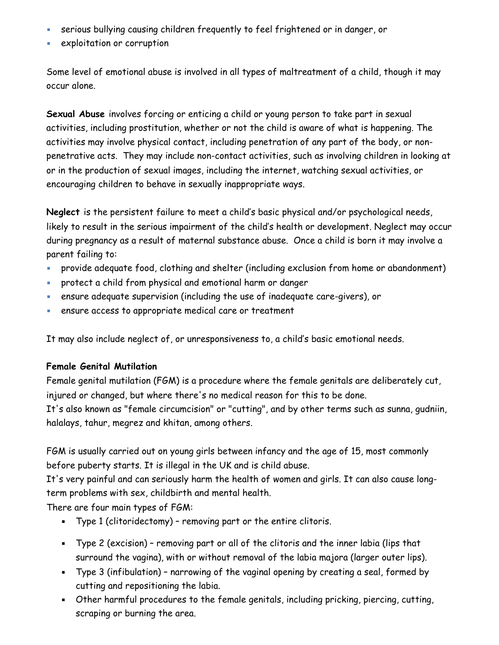- **Exerious bullying causing children frequently to feel frightened or in danger, or**
- exploitation or corruption

Some level of emotional abuse is involved in all types of maltreatment of a child, though it may occur alone.

**Sexual Abuse** involves forcing or enticing a child or young person to take part in sexual activities, including prostitution, whether or not the child is aware of what is happening. The activities may involve physical contact, including penetration of any part of the body, or nonpenetrative acts. They may include non-contact activities, such as involving children in looking at or in the production of sexual images, including the internet, watching sexual activities, or encouraging children to behave in sexually inappropriate ways.

**Neglect** is the persistent failure to meet a child's basic physical and/or psychological needs, likely to result in the serious impairment of the child's health or development. Neglect may occur during pregnancy as a result of maternal substance abuse. Once a child is born it may involve a parent failing to:

- provide adequate food, clothing and shelter (including exclusion from home or abandonment)
- **EXED** protect a child from physical and emotional harm or danger
- ensure adequate supervision (including the use of inadequate care-givers), or
- ensure access to appropriate medical care or treatment

It may also include neglect of, or unresponsiveness to, a child's basic emotional needs.

## **Female Genital Mutilation**

Female genital mutilation (FGM) is a procedure where the female genitals are deliberately cut, injured or changed, but where there's no medical reason for this to be done.

It's also known as "female circumcision" or "cutting", and by other terms such as sunna, gudniin, halalays, tahur, megrez and khitan, among others.

FGM is usually carried out on young girls between infancy and the age of 15, most commonly before puberty starts. It is illegal in the UK and is child abuse.

It's very painful and can seriously harm the health of women and girls. It can also cause longterm problems with sex, childbirth and mental health.

There are four main types of FGM:

- Type 1 (clitoridectomy) removing part or the entire clitoris.
- Type 2 (excision) removing part or all of the clitoris and the inner labia (lips that surround the vagina), with or without removal of the labia majora (larger outer lips).
- Type 3 (infibulation) narrowing of the vaginal opening by creating a seal, formed by cutting and repositioning the labia.
- Other harmful procedures to the female genitals, including pricking, piercing, cutting, scraping or burning the area.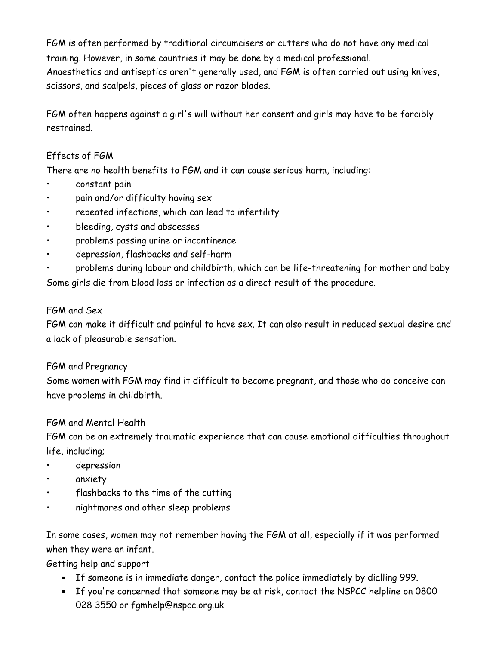FGM is often performed by traditional circumcisers or cutters who do not have any medical training. However, in some countries it may be done by a medical professional. Anaesthetics and antiseptics aren't generally used, and FGM is often carried out using knives, scissors, and scalpels, pieces of glass or razor blades.

FGM often happens against a girl's will without her consent and girls may have to be forcibly restrained.

## Effects of FGM

There are no health benefits to FGM and it can cause serious harm, including:

- constant pain
- pain and/or difficulty having sex
- repeated infections, which can lead to infertility
- bleeding, cysts and abscesses
- problems passing urine or incontinence
- depression, flashbacks and self-harm

• problems during labour and childbirth, which can be life-threatening for mother and baby Some girls die from blood loss or infection as a direct result of the procedure.

#### FGM and Sex

FGM can make it difficult and painful to have sex. It can also result in reduced sexual desire and a lack of pleasurable sensation.

## FGM and Pregnancy

Some women with FGM may find it difficult to become pregnant, and those who do conceive can have problems in childbirth.

## FGM and Mental Health

FGM can be an extremely traumatic experience that can cause emotional difficulties throughout life, including;

- depression
- anxiety
- flashbacks to the time of the cutting
- nightmares and other sleep problems

In some cases, women may not remember having the FGM at all, especially if it was performed when they were an infant.

Getting help and support

- If someone is in immediate danger, contact the police immediately by dialling 999.
- If you're concerned that someone may be at risk, contact the NSPCC helpline on 0800 028 3550 or fgmhelp@nspcc.org.uk.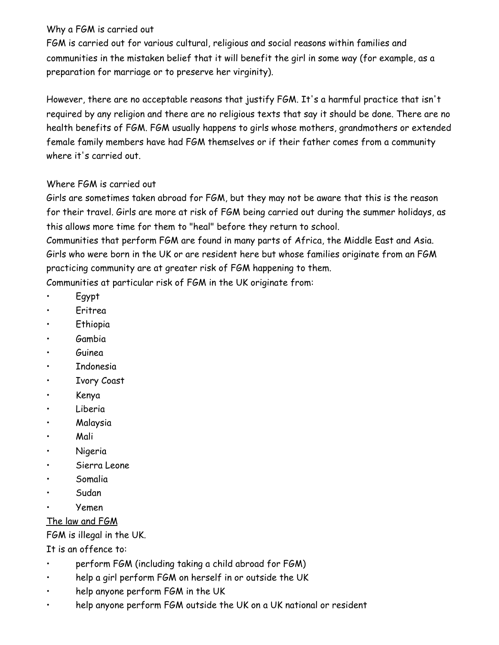## Why a FGM is carried out

FGM is carried out for various cultural, religious and social reasons within families and communities in the mistaken belief that it will benefit the girl in some way (for example, as a preparation for marriage or to preserve her virginity).

However, there are no acceptable reasons that justify FGM. It's a harmful practice that isn't required by any religion and there are no religious texts that say it should be done. There are no health benefits of FGM. FGM usually happens to girls whose mothers, grandmothers or extended female family members have had FGM themselves or if their father comes from a community where it's carried out.

## Where FGM is carried out

Girls are sometimes taken abroad for FGM, but they may not be aware that this is the reason for their travel. Girls are more at risk of FGM being carried out during the summer holidays, as this allows more time for them to "heal" before they return to school.

Communities that perform FGM are found in many parts of Africa, the Middle East and Asia. Girls who were born in the UK or are resident here but whose families originate from an FGM practicing community are at greater risk of FGM happening to them.

Communities at particular risk of FGM in the UK originate from:

- Egypt
- Eritrea
- Ethiopia
- Gambia
- Guinea
- Indonesia
- Ivory Coast
- Kenya
- Liberia
- Malaysia
- Mali
- Nigeria
- Sierra Leone
- Somalia
- Sudan
- Yemen

The law and FGM

FGM is illegal in the UK.

It is an offence to:

- perform FGM (including taking a child abroad for FGM)
- help a girl perform FGM on herself in or outside the UK
- help anyone perform FGM in the UK
- help anyone perform FGM outside the UK on a UK national or resident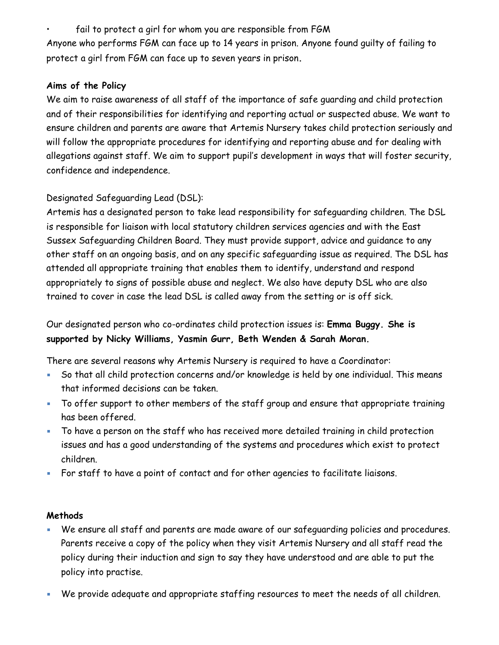fail to protect a girl for whom you are responsible from FGM Anyone who performs FGM can face up to 14 years in prison. Anyone found guilty of failing to protect a girl from FGM can face up to seven years in prison**.** 

## **Aims of the Policy**

We aim to raise awareness of all staff of the importance of safe guarding and child protection and of their responsibilities for identifying and reporting actual or suspected abuse. We want to ensure children and parents are aware that Artemis Nursery takes child protection seriously and will follow the appropriate procedures for identifying and reporting abuse and for dealing with allegations against staff. We aim to support pupil's development in ways that will foster security, confidence and independence.

## Designated Safeguarding Lead (DSL):

Artemis has a designated person to take lead responsibility for safeguarding children. The DSL is responsible for liaison with local statutory children services agencies and with the East Sussex Safeguarding Children Board. They must provide support, advice and guidance to any other staff on an ongoing basis, and on any specific safeguarding issue as required. The DSL has attended all appropriate training that enables them to identify, understand and respond appropriately to signs of possible abuse and neglect. We also have deputy DSL who are also trained to cover in case the lead DSL is called away from the setting or is off sick.

## Our designated person who co-ordinates child protection issues is: **Emma Buggy. She is supported by Nicky Williams, Yasmin Gurr, Beth Wenden & Sarah Moran.**

There are several reasons why Artemis Nursery is required to have a Coordinator:

- So that all child protection concerns and/or knowledge is held by one individual. This means that informed decisions can be taken.
- To offer support to other members of the staff group and ensure that appropriate training has been offered.
- To have a person on the staff who has received more detailed training in child protection issues and has a good understanding of the systems and procedures which exist to protect children.
- For staff to have a point of contact and for other agencies to facilitate liaisons.

## **Methods**

- We ensure all staff and parents are made aware of our safeguarding policies and procedures. Parents receive a copy of the policy when they visit Artemis Nursery and all staff read the policy during their induction and sign to say they have understood and are able to put the policy into practise.
- We provide adequate and appropriate staffing resources to meet the needs of all children.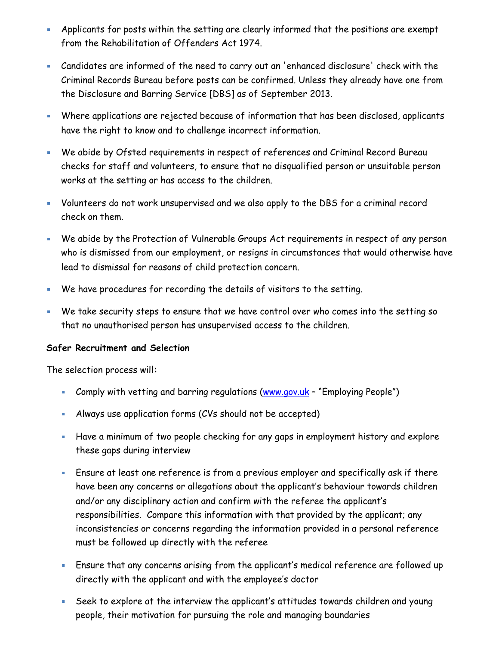- **EXED** Applicants for posts within the setting are clearly informed that the positions are exempt from the Rehabilitation of Offenders Act 1974.
- Candidates are informed of the need to carry out an 'enhanced disclosure' check with the Criminal Records Bureau before posts can be confirmed. Unless they already have one from the Disclosure and Barring Service [DBS] as of September 2013.
- Where applications are rejected because of information that has been disclosed, applicants have the right to know and to challenge incorrect information.
- We abide by Ofsted requirements in respect of references and Criminal Record Bureau checks for staff and volunteers, to ensure that no disqualified person or unsuitable person works at the setting or has access to the children.
- Volunteers do not work unsupervised and we also apply to the DBS for a criminal record check on them.
- We abide by the Protection of Vulnerable Groups Act requirements in respect of any person who is dismissed from our employment, or resigns in circumstances that would otherwise have lead to dismissal for reasons of child protection concern.
- We have procedures for recording the details of visitors to the setting.
- We take security steps to ensure that we have control over who comes into the setting so that no unauthorised person has unsupervised access to the children.

#### **Safer Recruitment and Selection**

The selection process will**:** 

- Comply with vetting and barring regulations ([www.gov.uk](http://www.gov.uk) "Employing People")
- Always use application forms (CVs should not be accepted)
- **EXT** Have a minimum of two people checking for any gaps in employment history and explore these gaps during interview
- **Ensure at least one reference is from a previous employer and specifically ask if there** have been any concerns or allegations about the applicant's behaviour towards children and/or any disciplinary action and confirm with the referee the applicant's responsibilities. Compare this information with that provided by the applicant; any inconsistencies or concerns regarding the information provided in a personal reference must be followed up directly with the referee
- **Ensure that any concerns arising from the applicant's medical reference are followed up** directly with the applicant and with the employee's doctor
- Seek to explore at the interview the applicant's attitudes towards children and young people, their motivation for pursuing the role and managing boundaries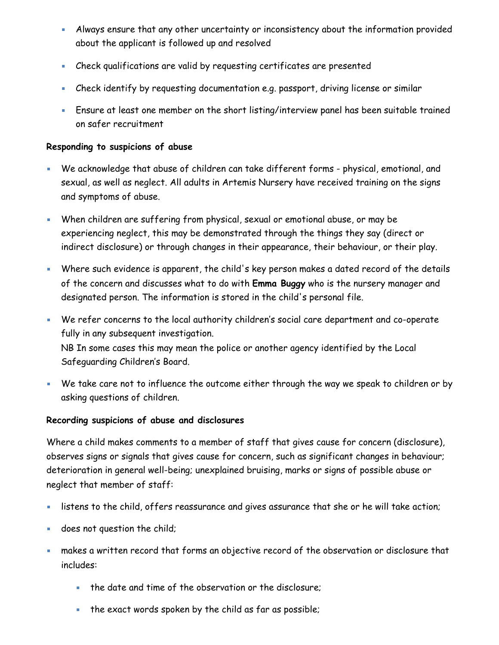- **EXED** Always ensure that any other uncertainty or inconsistency about the information provided about the applicant is followed up and resolved
- Check qualifications are valid by requesting certificates are presented
- **EXECT** Check identify by requesting documentation e.g. passport, driving license or similar
- **Ensure at least one member on the short listing/interview panel has been suitable trained** on safer recruitment

#### **Responding to suspicions of abuse**

- We acknowledge that abuse of children can take different forms physical, emotional, and sexual, as well as neglect. All adults in Artemis Nursery have received training on the signs and symptoms of abuse.
- When children are suffering from physical, sexual or emotional abuse, or may be experiencing neglect, this may be demonstrated through the things they say (direct or indirect disclosure) or through changes in their appearance, their behaviour, or their play.
- Where such evidence is apparent, the child's key person makes a dated record of the details of the concern and discusses what to do with **Emma Buggy** who is the nursery manager and designated person. The information is stored in the child's personal file.
- We refer concerns to the local authority children's social care department and co-operate fully in any subsequent investigation.

NB In some cases this may mean the police or another agency identified by the Local Safeguarding Children's Board.

▪ We take care not to influence the outcome either through the way we speak to children or by asking questions of children.

#### **Recording suspicions of abuse and disclosures**

Where a child makes comments to a member of staff that gives cause for concern (disclosure), observes signs or signals that gives cause for concern, such as significant changes in behaviour; deterioration in general well-being; unexplained bruising, marks or signs of possible abuse or neglect that member of staff:

- **EXEL 15 I** listens to the child, offers reassurance and gives assurance that she or he will take action;
- **EXEC** does not question the child;
- makes a written record that forms an objective record of the observation or disclosure that includes:
	- the date and time of the observation or the disclosure;
	- the exact words spoken by the child as far as possible;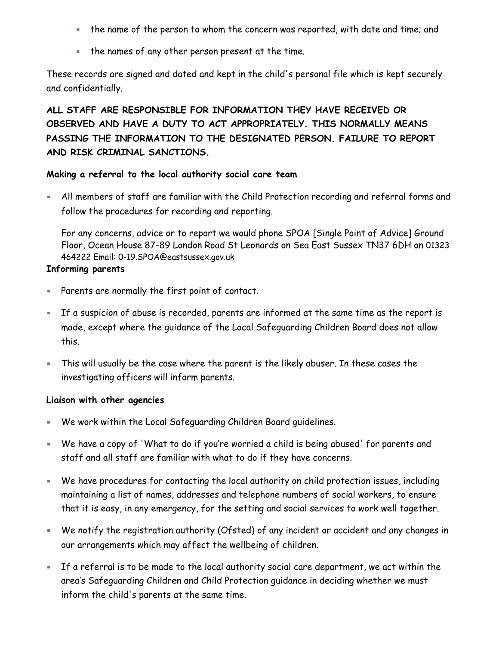- the name of the person to whom the concern was reported, with date and time; and
- the names of any other person present at the time.

These records are signed and dated and kept in the child's personal file which is kept securely and confidentially.

**ALL STAFF ARE RESPONSIBLE FOR INFORMATION THEY HAVE RECEIVED OR OBSERVED AND HAVE A DUTY TO ACT APPROPRIATELY. THIS NORMALLY MEANS PASSING THE INFORMATION TO THE DESIGNATED PERSON. FAILURE TO REPORT AND RISK CRIMINAL SANCTIONS.** 

#### **Making a referral to the local authority social care team**

▪ All members of staff are familiar with the Child Protection recording and referral forms and follow the procedures for recording and reporting.

For any concerns, advice or to report we would phone SPOA [Single Point of Advice] Ground Floor, Ocean House 87-89 London Road St Leonards on Sea East Sussex TN37 6DH on 01323 464222 Email: 0-19.SPOA@eastsussex.gov.uk

#### **Informing parents**

- Parents are normally the first point of contact.
- If a suspicion of abuse is recorded, parents are informed at the same time as the report is made, except where the guidance of the Local Safeguarding Children Board does not allow this.
- This will usually be the case where the parent is the likely abuser. In these cases the investigating officers will inform parents.

#### **Liaison with other agencies**

- We work within the Local Safeguarding Children Board guidelines.
- We have a copy of 'What to do if you're worried a child is being abused' for parents and staff and all staff are familiar with what to do if they have concerns.
- We have procedures for contacting the local authority on child protection issues, including maintaining a list of names, addresses and telephone numbers of social workers, to ensure that it is easy, in any emergency, for the setting and social services to work well together.
- We notify the registration authority (Ofsted) of any incident or accident and any changes in our arrangements which may affect the wellbeing of children.
- **EXTE:** If a referral is to be made to the local authority social care department, we act within the area's Safeguarding Children and Child Protection guidance in deciding whether we must inform the child's parents at the same time.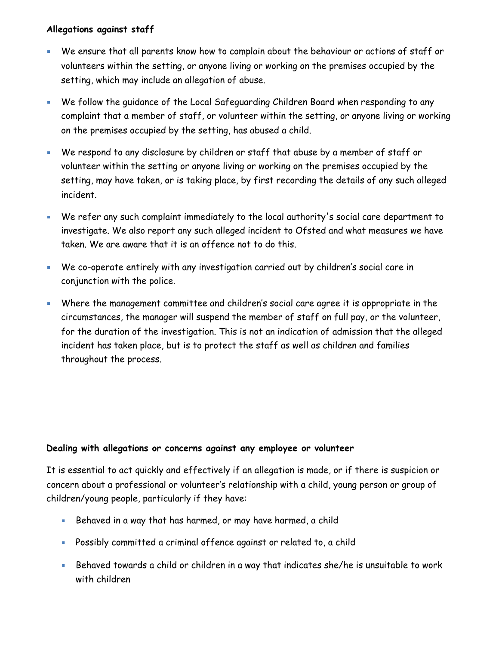#### **Allegations against staff**

- We ensure that all parents know how to complain about the behaviour or actions of staff or volunteers within the setting, or anyone living or working on the premises occupied by the setting, which may include an allegation of abuse.
- We follow the guidance of the Local Safeguarding Children Board when responding to any complaint that a member of staff, or volunteer within the setting, or anyone living or working on the premises occupied by the setting, has abused a child.
- We respond to any disclosure by children or staff that abuse by a member of staff or volunteer within the setting or anyone living or working on the premises occupied by the setting, may have taken, or is taking place, by first recording the details of any such alleged incident.
- We refer any such complaint immediately to the local authority's social care department to investigate. We also report any such alleged incident to Ofsted and what measures we have taken. We are aware that it is an offence not to do this.
- We co-operate entirely with any investigation carried out by children's social care in conjunction with the police.
- Where the management committee and children's social care agree it is appropriate in the circumstances, the manager will suspend the member of staff on full pay, or the volunteer, for the duration of the investigation. This is not an indication of admission that the alleged incident has taken place, but is to protect the staff as well as children and families throughout the process.

#### **Dealing with allegations or concerns against any employee or volunteer**

It is essential to act quickly and effectively if an allegation is made, or if there is suspicion or concern about a professional or volunteer's relationship with a child, young person or group of children/young people, particularly if they have:

- **EXE** Behaved in a way that has harmed, or may have harmed, a child
- Possibly committed a criminal offence against or related to, a child
- Behaved towards a child or children in a way that indicates she/he is unsuitable to work with children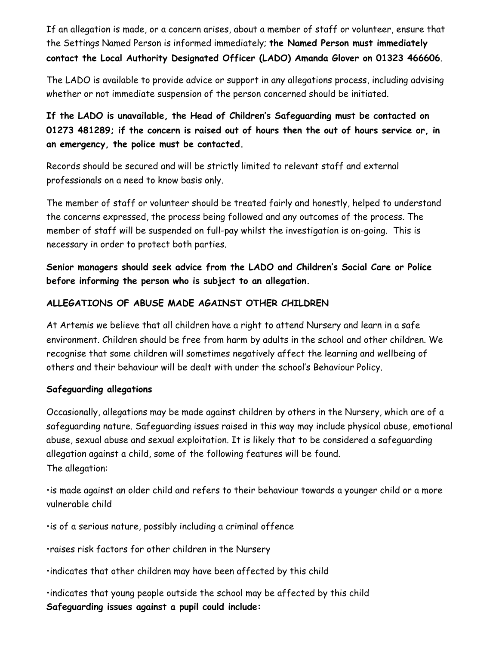If an allegation is made, or a concern arises, about a member of staff or volunteer, ensure that the Settings Named Person is informed immediately; **the Named Person must immediately contact the Local Authority Designated Officer (LADO) Amanda Glover on 01323 466606**.

The LADO is available to provide advice or support in any allegations process, including advising whether or not immediate suspension of the person concerned should be initiated.

**If the LADO is unavailable, the Head of Children's Safeguarding must be contacted on 01273 481289; if the concern is raised out of hours then the out of hours service or, in an emergency, the police must be contacted.** 

Records should be secured and will be strictly limited to relevant staff and external professionals on a need to know basis only.

The member of staff or volunteer should be treated fairly and honestly, helped to understand the concerns expressed, the process being followed and any outcomes of the process. The member of staff will be suspended on full-pay whilst the investigation is on-going. This is necessary in order to protect both parties.

**Senior managers should seek advice from the LADO and Children's Social Care or Police before informing the person who is subject to an allegation.** 

## **ALLEGATIONS OF ABUSE MADE AGAINST OTHER CHILDREN**

At Artemis we believe that all children have a right to attend Nursery and learn in a safe environment. Children should be free from harm by adults in the school and other children. We recognise that some children will sometimes negatively affect the learning and wellbeing of others and their behaviour will be dealt with under the school's Behaviour Policy.

## **Safeguarding allegations**

Occasionally, allegations may be made against children by others in the Nursery, which are of a safeguarding nature. Safeguarding issues raised in this way may include physical abuse, emotional abuse, sexual abuse and sexual exploitation. It is likely that to be considered a safeguarding allegation against a child, some of the following features will be found. The allegation:

•is made against an older child and refers to their behaviour towards a younger child or a more vulnerable child

•is of a serious nature, possibly including a criminal offence

•raises risk factors for other children in the Nursery

•indicates that other children may have been affected by this child

•indicates that young people outside the school may be affected by this child **Safeguarding issues against a pupil could include:**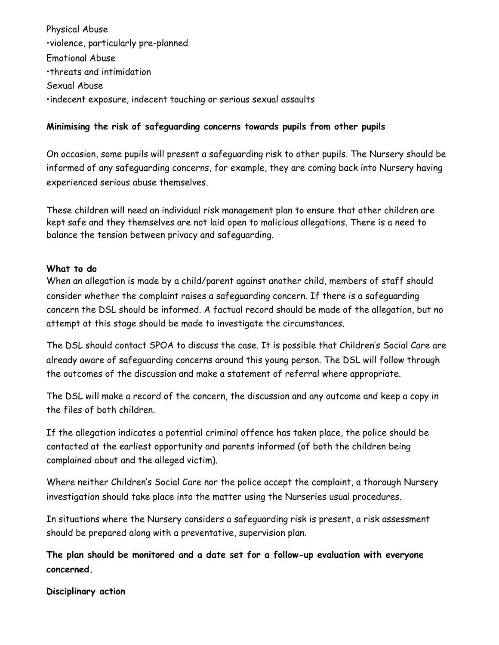Physical Abuse •violence, particularly pre-planned Emotional Abuse •threats and intimidation Sexual Abuse •indecent exposure, indecent touching or serious sexual assaults

#### **Minimising the risk of safeguarding concerns towards pupils from other pupils**

On occasion, some pupils will present a safeguarding risk to other pupils. The Nursery should be informed of any safeguarding concerns, for example, they are coming back into Nursery having experienced serious abuse themselves.

These children will need an individual risk management plan to ensure that other children are kept safe and they themselves are not laid open to malicious allegations. There is a need to balance the tension between privacy and safeguarding.

#### **What to do**

When an allegation is made by a child/parent against another child, members of staff should consider whether the complaint raises a safeguarding concern. If there is a safeguarding concern the DSL should be informed. A factual record should be made of the allegation, but no attempt at this stage should be made to investigate the circumstances.

The DSL should contact SPOA to discuss the case. It is possible that Children's Social Care are already aware of safeguarding concerns around this young person. The DSL will follow through the outcomes of the discussion and make a statement of referral where appropriate.

The DSL will make a record of the concern, the discussion and any outcome and keep a copy in the files of both children.

If the allegation indicates a potential criminal offence has taken place, the police should be contacted at the earliest opportunity and parents informed (of both the children being complained about and the alleged victim).

Where neither Children's Social Care nor the police accept the complaint, a thorough Nursery investigation should take place into the matter using the Nurseries usual procedures.

In situations where the Nursery considers a safeguarding risk is present, a risk assessment should be prepared along with a preventative, supervision plan.

**The plan should be monitored and a date set for a follow-up evaluation with everyone concerned.** 

**Disciplinary action**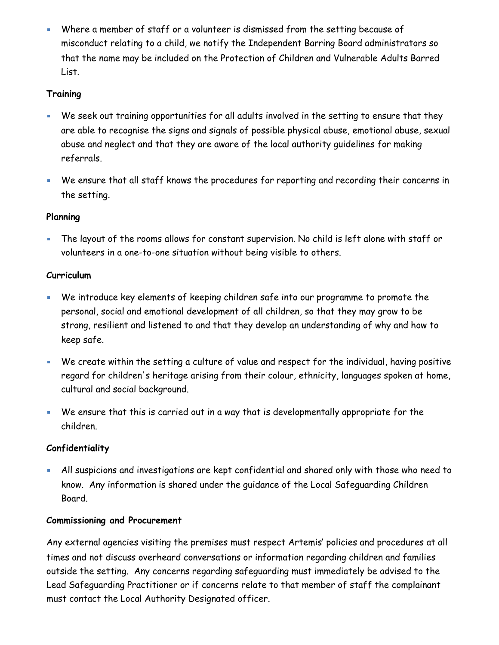▪ Where a member of staff or a volunteer is dismissed from the setting because of misconduct relating to a child, we notify the Independent Barring Board administrators so that the name may be included on the Protection of Children and Vulnerable Adults Barred List.

## **Training**

- We seek out training opportunities for all adults involved in the setting to ensure that they are able to recognise the signs and signals of possible physical abuse, emotional abuse, sexual abuse and neglect and that they are aware of the local authority guidelines for making referrals.
- We ensure that all staff knows the procedures for reporting and recording their concerns in the setting.

## **Planning**

▪ The layout of the rooms allows for constant supervision. No child is left alone with staff or volunteers in a one-to-one situation without being visible to others.

#### **Curriculum**

- We introduce key elements of keeping children safe into our programme to promote the personal, social and emotional development of all children, so that they may grow to be strong, resilient and listened to and that they develop an understanding of why and how to keep safe.
- We create within the setting a culture of value and respect for the individual, having positive regard for children's heritage arising from their colour, ethnicity, languages spoken at home, cultural and social background.
- We ensure that this is carried out in a way that is developmentally appropriate for the children.

## **Confidentiality**

▪ All suspicions and investigations are kept confidential and shared only with those who need to know. Any information is shared under the guidance of the Local Safeguarding Children Board.

## **Commissioning and Procurement**

Any external agencies visiting the premises must respect Artemis' policies and procedures at all times and not discuss overheard conversations or information regarding children and families outside the setting. Any concerns regarding safeguarding must immediately be advised to the Lead Safeguarding Practitioner or if concerns relate to that member of staff the complainant must contact the Local Authority Designated officer.